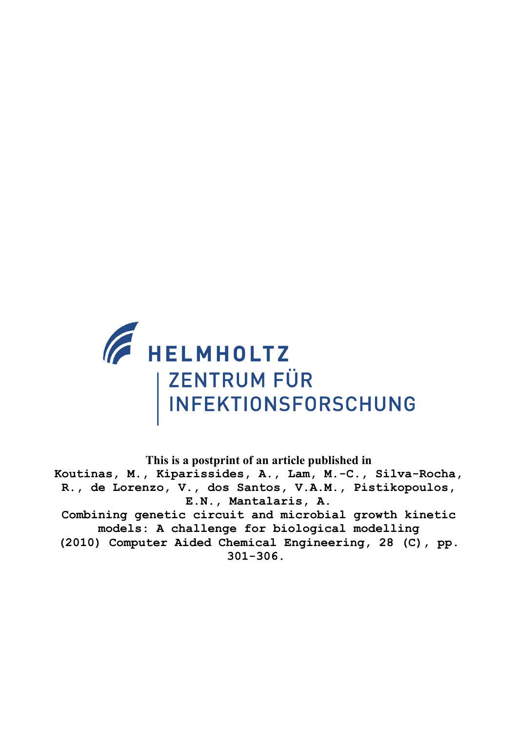

**This is a postprint of an article published in**

**Koutinas, M., Kiparissides, A., Lam, M.-C., Silva-Rocha, R., de Lorenzo, V., dos Santos, V.A.M., Pistikopoulos, E.N., Mantalaris, A.**

**Combining genetic circuit and microbial growth kinetic models: A challenge for biological modelling**

**(2010) Computer Aided Chemical Engineering, 28 (C), pp. 301-306.**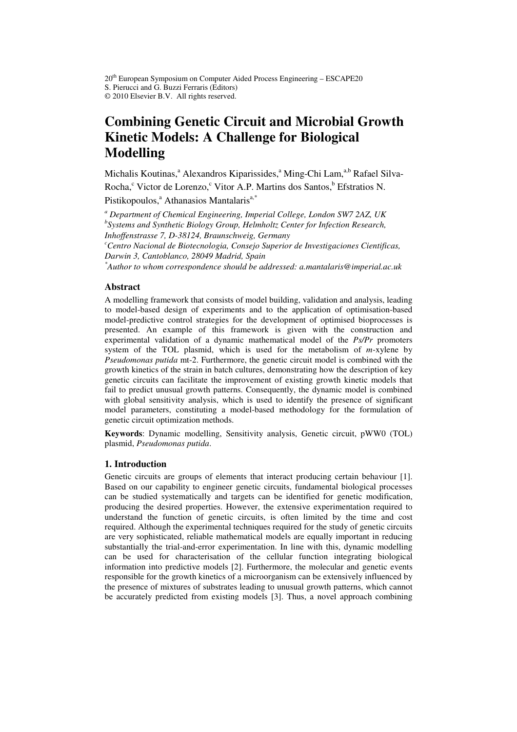20<sup>th</sup> European Symposium on Computer Aided Process Engineering – ESCAPE20 S. Pierucci and G. Buzzi Ferraris (Editors) © 2010 Elsevier B.V. All rights reserved.

# **Combining Genetic Circuit and Microbial Growth Kinetic Models: A Challenge for Biological Modelling**

Michalis Koutinas,<sup>a</sup> Alexandros Kiparissides,<sup>a</sup> Ming-Chi Lam,<sup>a,b</sup> Rafael Silva-Rocha,<sup>c</sup> Victor de Lorenzo,<sup>c</sup> Vitor A.P. Martins dos Santos,<sup>b</sup> Efstratios N.

Pistikopoulos,<sup>a</sup> Athanasios Mantalaris<sup>a,\*</sup>

*a Department of Chemical Engineering, Imperial College, London SW7 2AZ, UK b Systems and Synthetic Biology Group, Helmholtz Center for Infection Research, Inhoffenstrasse 7, D-38124, Braunschweig, Germany* 

*<sup>c</sup>Centro Nacional de Biotecnologia, Consejo Superior de Investigaciones Cientificas, Darwin 3, Cantoblanco, 28049 Madrid, Spain* 

*\*Author to whom correspondence should be addressed: a.mantalaris@imperial.ac.uk* 

# **Abstract**

A modelling framework that consists of model building, validation and analysis, leading to model-based design of experiments and to the application of optimisation-based model-predictive control strategies for the development of optimised bioprocesses is presented. An example of this framework is given with the construction and experimental validation of a dynamic mathematical model of the *Ps/Pr* promoters system of the TOL plasmid, which is used for the metabolism of *m*-xylene by *Pseudomonas putida* mt-2. Furthermore, the genetic circuit model is combined with the growth kinetics of the strain in batch cultures, demonstrating how the description of key genetic circuits can facilitate the improvement of existing growth kinetic models that fail to predict unusual growth patterns. Consequently, the dynamic model is combined with global sensitivity analysis, which is used to identify the presence of significant model parameters, constituting a model-based methodology for the formulation of genetic circuit optimization methods.

**Keywords**: Dynamic modelling, Sensitivity analysis, Genetic circuit, pWW0 (TOL) plasmid, *Pseudomonas putida*.

# **1. Introduction**

Genetic circuits are groups of elements that interact producing certain behaviour [1]. Based on our capability to engineer genetic circuits, fundamental biological processes can be studied systematically and targets can be identified for genetic modification, producing the desired properties. However, the extensive experimentation required to understand the function of genetic circuits, is often limited by the time and cost required. Although the experimental techniques required for the study of genetic circuits are very sophisticated, reliable mathematical models are equally important in reducing substantially the trial-and-error experimentation. In line with this, dynamic modelling can be used for characterisation of the cellular function integrating biological information into predictive models [2]. Furthermore, the molecular and genetic events responsible for the growth kinetics of a microorganism can be extensively influenced by the presence of mixtures of substrates leading to unusual growth patterns, which cannot be accurately predicted from existing models [3]. Thus, a novel approach combining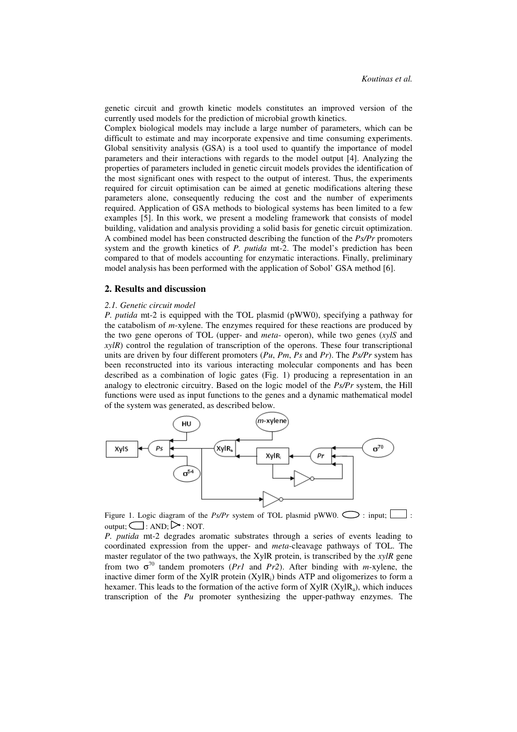genetic circuit and growth kinetic models constitutes an improved version of the currently used models for the prediction of microbial growth kinetics.

Complex biological models may include a large number of parameters, which can be difficult to estimate and may incorporate expensive and time consuming experiments. Global sensitivity analysis (GSA) is a tool used to quantify the importance of model parameters and their interactions with regards to the model output [4]. Analyzing the properties of parameters included in genetic circuit models provides the identification of the most significant ones with respect to the output of interest. Thus, the experiments required for circuit optimisation can be aimed at genetic modifications altering these parameters alone, consequently reducing the cost and the number of experiments required. Application of GSA methods to biological systems has been limited to a few examples [5]. In this work, we present a modeling framework that consists of model building, validation and analysis providing a solid basis for genetic circuit optimization. A combined model has been constructed describing the function of the *Ps/Pr* promoters system and the growth kinetics of *P. putida* mt-2. The model's prediction has been compared to that of models accounting for enzymatic interactions. Finally, preliminary model analysis has been performed with the application of Sobol' GSA method [6].

## **2. Results and discussion**

#### *2.1. Genetic circuit model*

*P. putida* mt-2 is equipped with the TOL plasmid (pWW0), specifying a pathway for the catabolism of *m*-xylene. The enzymes required for these reactions are produced by the two gene operons of TOL (upper- and *meta*- operon), while two genes (*xylS* and *xylR*) control the regulation of transcription of the operons. These four transcriptional units are driven by four different promoters (*Pu*, *Pm*, *Ps* and *Pr*). The *Ps/Pr* system has been reconstructed into its various interacting molecular components and has been described as a combination of logic gates (Fig. 1) producing a representation in an analogy to electronic circuitry. Based on the logic model of the *Ps/Pr* system, the Hill functions were used as input functions to the genes and a dynamic mathematical model of the system was generated, as described below.



Figure 1. Logic diagram of the *Ps/Pr* system of TOL plasmid pWW0.  $\bigcirc$  : input; [ output;  $\Box$ : AND;  $\triangleright$ : NOT.

*P. putida* mt-2 degrades aromatic substrates through a series of events leading to coordinated expression from the upper- and *meta*-cleavage pathways of TOL. The master regulator of the two pathways, the XylR protein, is transcribed by the *xylR* gene from two  $\sigma^{70}$  tandem promoters (*Pr1* and *Pr2*). After binding with *m*-xylene, the inactive dimer form of the XylR protein  $(Xy|R_i)$  binds ATP and oligomerizes to form a hexamer. This leads to the formation of the active form of  $XylR (XylR_a)$ , which induces transcription of the *Pu* promoter synthesizing the upper-pathway enzymes. The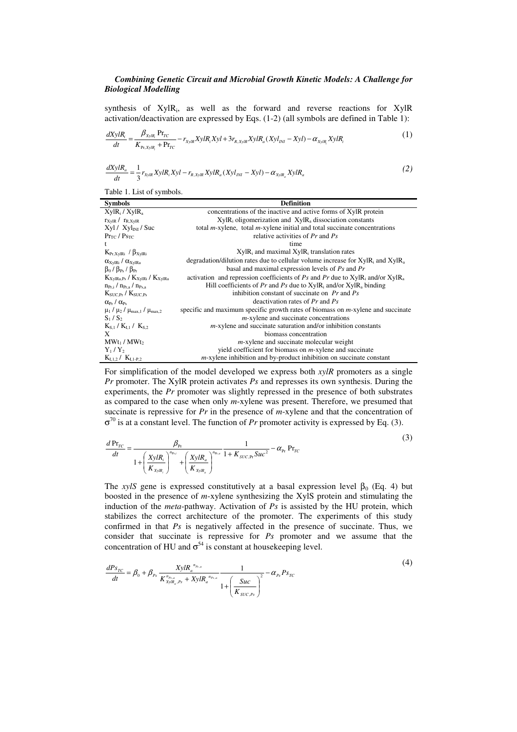# *Combining Genetic Circuit and Microbial Growth Kinetic Models: A Challenge for Biological Modelling*

synthesis of XylR<sub>i</sub>, as well as the forward and reverse reactions for XylR activation/deactivation are expressed by Eqs. (1-2) (all symbols are defined in Table 1):

$$
\frac{dXylR_i}{dt} = \frac{\beta_{xylR_i} Pr_{TC}}{K_{Pr, XylR_i} + Pr_{TC}} - r_{xylR} XylR_i Xyl + 3r_{R, XylR} XylR_a (Xyl_{INI} - Xyl) - \alpha_{xylR} XylR_i
$$
\n(1)

$$
\frac{dX y R_a}{dt} = \frac{1}{3} r_{X y l R} X y l R_i X y l - r_{R, X y l R} X y l R_a (X y l_{I N I} - X y l) - \alpha_{X y l R_a} X y l R_a
$$
\n(2)

Table 1. List of symbols.

| <b>Symbols</b>                                                  | <b>Definition</b>                                                                                     |
|-----------------------------------------------------------------|-------------------------------------------------------------------------------------------------------|
| $XylR_i / XylR_a$                                               | concentrations of the inactive and active forms of XylR protein                                       |
| $r_{\text{XvIR}}$ / $r_{\text{R,XvIR}}$                         | $XylR_i$ oligomerization and $XylR_a$ dissociation constants                                          |
| $Xyl / Xyl_{INI} / Suc$                                         | total $m$ -xylene, total $m$ -xylene initial and total succinate concentrations                       |
| $Pr_{TC}$ / $Ps_{TC}$                                           | relative activities of $Pr$ and $Ps$                                                                  |
| t                                                               | time                                                                                                  |
| $K_{Pr,XyIRi}$ / $\beta_{XyIRi}$                                | $XylR_i$ and maximal $XylR_i$ translation rates                                                       |
| $\alpha_{\text{XylRi}}$ / $\alpha_{\text{XylRa}}$               | degradation/dilution rates due to cellular volume increase for $XylR_i$ and $XylR_a$                  |
| $\beta_0$ / $\beta_{\rm Ps}$ / $\beta_{\rm Pr}$                 | basal and maximal expression levels of $Ps$ and $Pr$                                                  |
| $K_{XvlRa,Ps}$ / $K_{XvlRi}$ / $K_{XvlRa}$                      | activation and repression coefficients of Ps and Pr due to XylR <sub>i</sub> and/or XylR <sub>a</sub> |
| $n_{\text{Pr.i}}/n_{\text{Pr.a}}/n_{\text{Ps.a}}$               | Hill coefficients of Pr and Ps due to $XyIR_i$ and/or $XyIR_a$ binding                                |
| $K_{\text{SUC-Pr}}$ / $K_{\text{SUC-Ps}}$                       | inhibition constant of succinate on $Pr$ and $Ps$                                                     |
| $\alpha_{\rm Pr}/\alpha_{\rm Pr}$                               | deactivation rates of $Pr$ and $Ps$                                                                   |
| $\mu_1$ / $\mu_2$ / $\mu_{\text{max.1}}$ / $\mu_{\text{max.2}}$ | specific and maximum specific growth rates of biomass on $m$ -xylene and succinate                    |
| $S_1/S_2$                                                       | $m$ -xylene and succinate concentrations                                                              |
| $K_{S,1}/K_{L1}/K_{S,2}$                                        | $m$ -xylene and succinate saturation and/or inhibition constants                                      |
| X                                                               | biomass concentration                                                                                 |
| $MWt_1/MWt_2$                                                   | $m$ -xylene and succinate molecular weight                                                            |
| $Y_1/Y_2$                                                       | yield coefficient for biomass on <i>m</i> -xylene and succinate                                       |
| $K_{L1,2}$ / $K_{L1-P,2}$                                       | $m$ -xylene inhibition and by-product inhibition on succinate constant                                |

For simplification of the model developed we express both *xylR* promoters as a single *Pr* promoter. The XylR protein activates *Ps* and represses its own synthesis. During the experiments, the *Pr* promoter was slightly repressed in the presence of both substrates as compared to the case when only *m*-xylene was present. Therefore, we presumed that succinate is repressive for *Pr* in the presence of *m*-xylene and that the concentration of  $\sigma^{70}$  is at a constant level. The function of *Pr* promoter activity is expressed by Eq. (3).

$$
\frac{d \Pr_{TC}}{dt} = \frac{\beta_{p_r}}{1 + \left(\frac{X y l R_i}{K_{x y l R_i}}\right)^{n_{p_{r,i}}} + \left(\frac{X y l R_a}{K_{x y l R_a}}\right)^{n_{p_{r,a}}} \frac{1}{1 + K_{s U C, P_r} S u c^2} - \alpha_{p_r} \Pr_{TC}}
$$
\n(3)

The *xylS* gene is expressed constitutively at a basal expression level  $\beta_0$  (Eq. 4) but boosted in the presence of *m*-xylene synthesizing the XylS protein and stimulating the induction of the *meta*-pathway. Activation of *Ps* is assisted by the HU protein, which stabilizes the correct architecture of the promoter. The experiments of this study confirmed in that *Ps* is negatively affected in the presence of succinate. Thus, we consider that succinate is repressive for *Ps* promoter and we assume that the concentration of HU and  $\sigma^{54}$  is constant at housekeeping level.

$$
\frac{dP_{S_{TC}}}{dt} = \beta_0 + \beta_{Ps} \frac{X y l R_a^{n_{Ps,a}}}{K_{X y l R_a, Ps}^{n_{Ps,a}} + X y l R_a^{n_{Ps,a}}} \frac{1}{1 + \left(\frac{S u c}{K_{S U C, Ps}}\right)^2} - \alpha_{Ps} P_{S_{TC}} \tag{4}
$$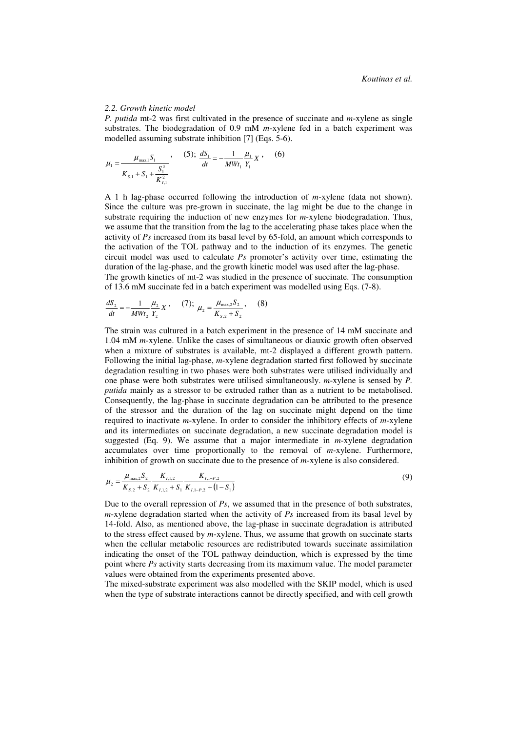#### *2.2. Growth kinetic model*

*P. putida* mt-2 was first cultivated in the presence of succinate and *m*-xylene as single substrates. The biodegradation of 0.9 mM *m*-xylene fed in a batch experiment was modelled assuming substrate inhibition [7] (Eqs. 5-6).

$$
\mu_1 = \frac{\mu_{\text{max},1} S_1}{K_{s,1} + S_1 + \frac{S_1^3}{K_{t,1}^2}}, \qquad (5); \ \frac{dS_1}{dt} = -\frac{1}{MWt_1} \frac{\mu_1}{Y_1} X, \qquad (6)
$$

A 1 h lag-phase occurred following the introduction of *m*-xylene (data not shown). Since the culture was pre-grown in succinate, the lag might be due to the change in substrate requiring the induction of new enzymes for *m*-xylene biodegradation. Thus, we assume that the transition from the lag to the accelerating phase takes place when the activity of *Ps* increased from its basal level by 65-fold, an amount which corresponds to the activation of the TOL pathway and to the induction of its enzymes. The genetic circuit model was used to calculate *Ps* promoter's activity over time, estimating the duration of the lag-phase, and the growth kinetic model was used after the lag-phase. The growth kinetics of mt-2 was studied in the presence of succinate. The consumption of 13.6 mM succinate fed in a batch experiment was modelled using Eqs. (7-8).

$$
\frac{dS_2}{dt} = -\frac{1}{MWt_2} \frac{\mu_2}{Y_2} X \,, \quad (7); \quad \mu_2 = \frac{\mu_{\text{max},2} S_2}{K_{s,2} + S_2} \,, \quad (8)
$$

The strain was cultured in a batch experiment in the presence of 14 mM succinate and 1.04 mM *m*-xylene. Unlike the cases of simultaneous or diauxic growth often observed when a mixture of substrates is available, mt-2 displayed a different growth pattern. Following the initial lag-phase, *m*-xylene degradation started first followed by succinate degradation resulting in two phases were both substrates were utilised individually and one phase were both substrates were utilised simultaneously. *m*-xylene is sensed by *P. putida* mainly as a stressor to be extruded rather than as a nutrient to be metabolised. Consequently, the lag-phase in succinate degradation can be attributed to the presence of the stressor and the duration of the lag on succinate might depend on the time required to inactivate *m*-xylene. In order to consider the inhibitory effects of *m*-xylene and its intermediates on succinate degradation, a new succinate degradation model is suggested (Eq. 9). We assume that a major intermediate in *m*-xylene degradation accumulates over time proportionally to the removal of *m*-xylene. Furthermore, inhibition of growth on succinate due to the presence of *m*-xylene is also considered.

$$
\mu_2 = \frac{\mu_{\text{max},2} S_2}{K_{s,2} + S_2} \frac{K_{I,1,2}}{K_{I,1,2} + S_1} \frac{K_{I,1-P,2}}{K_{I,1-P,2} + (1 - S_1)}
$$
(9)

Due to the overall repression of *Ps*, we assumed that in the presence of both substrates, *m*-xylene degradation started when the activity of *Ps* increased from its basal level by 14-fold. Also, as mentioned above, the lag-phase in succinate degradation is attributed to the stress effect caused by *m*-xylene. Thus, we assume that growth on succinate starts when the cellular metabolic resources are redistributed towards succinate assimilation indicating the onset of the TOL pathway deinduction, which is expressed by the time point where *Ps* activity starts decreasing from its maximum value. The model parameter values were obtained from the experiments presented above.

The mixed-substrate experiment was also modelled with the SKIP model, which is used when the type of substrate interactions cannot be directly specified, and with cell growth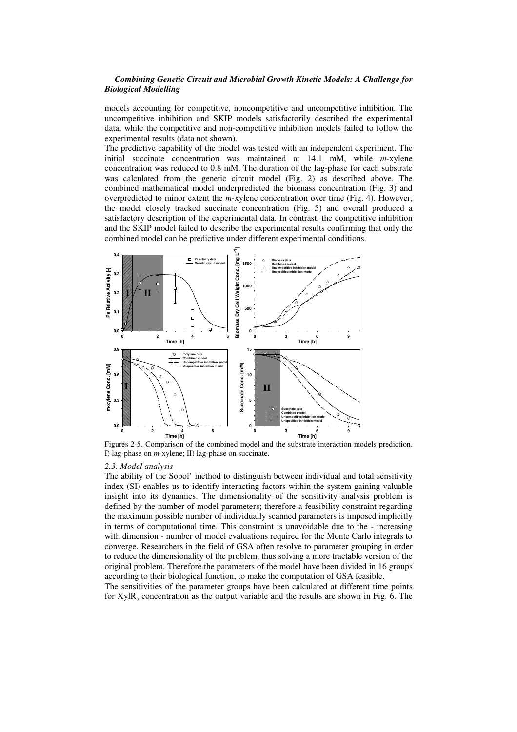## *Combining Genetic Circuit and Microbial Growth Kinetic Models: A Challenge for Biological Modelling*

models accounting for competitive, noncompetitive and uncompetitive inhibition. The uncompetitive inhibition and SKIP models satisfactorily described the experimental data, while the competitive and non-competitive inhibition models failed to follow the experimental results (data not shown).

The predictive capability of the model was tested with an independent experiment. The initial succinate concentration was maintained at 14.1 mM, while *m*-xylene concentration was reduced to 0.8 mM. The duration of the lag-phase for each substrate was calculated from the genetic circuit model (Fig. 2) as described above. The combined mathematical model underpredicted the biomass concentration (Fig. 3) and overpredicted to minor extent the *m*-xylene concentration over time (Fig. 4). However, the model closely tracked succinate concentration (Fig. 5) and overall produced a satisfactory description of the experimental data. In contrast, the competitive inhibition and the SKIP model failed to describe the experimental results confirming that only the combined model can be predictive under different experimental conditions.



Figures 2-5. Comparison of the combined model and the substrate interaction models prediction. I) lag-phase on *m*-xylene; II) lag-phase on succinate.

#### *2.3. Model analysis*

The ability of the Sobol' method to distinguish between individual and total sensitivity index (SI) enables us to identify interacting factors within the system gaining valuable insight into its dynamics. The dimensionality of the sensitivity analysis problem is defined by the number of model parameters; therefore a feasibility constraint regarding the maximum possible number of individually scanned parameters is imposed implicitly in terms of computational time. This constraint is unavoidable due to the - increasing with dimension - number of model evaluations required for the Monte Carlo integrals to converge. Researchers in the field of GSA often resolve to parameter grouping in order to reduce the dimensionality of the problem, thus solving a more tractable version of the original problem. Therefore the parameters of the model have been divided in 16 groups according to their biological function, to make the computation of GSA feasible.

The sensitivities of the parameter groups have been calculated at different time points for  $XylR_a$  concentration as the output variable and the results are shown in Fig. 6. The